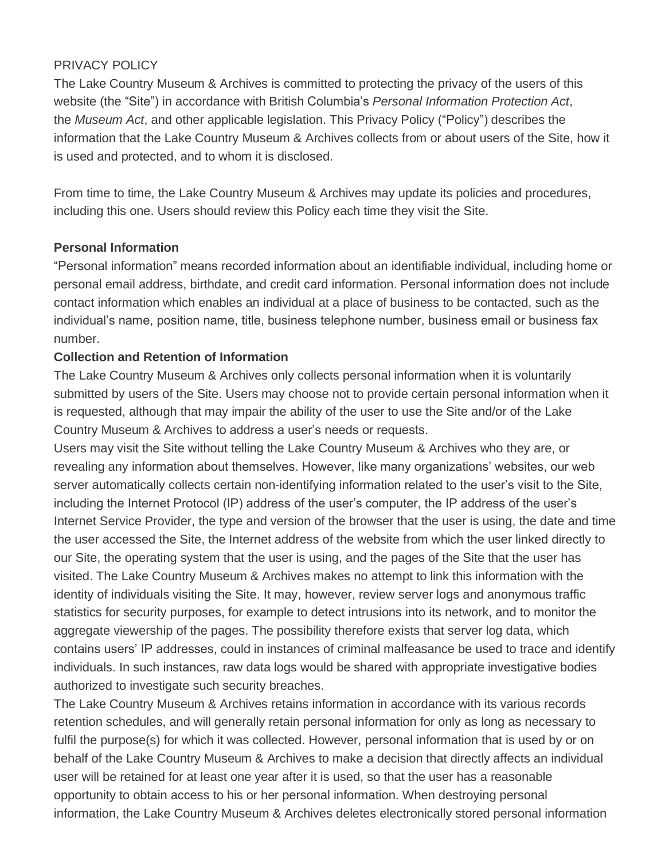## PRIVACY POLICY

The Lake Country Museum & Archives is committed to protecting the privacy of the users of this website (the "Site") in accordance with British Columbia's *Personal Information Protection Act*, the *Museum Act*, and other applicable legislation. This Privacy Policy ("Policy") describes the information that the Lake Country Museum & Archives collects from or about users of the Site, how it is used and protected, and to whom it is disclosed.

From time to time, the Lake Country Museum & Archives may update its policies and procedures, including this one. Users should review this Policy each time they visit the Site.

#### **Personal Information**

"Personal information" means recorded information about an identifiable individual, including home or personal email address, birthdate, and credit card information. Personal information does not include contact information which enables an individual at a place of business to be contacted, such as the individual's name, position name, title, business telephone number, business email or business fax number.

#### **Collection and Retention of Information**

The Lake Country Museum & Archives only collects personal information when it is voluntarily submitted by users of the Site. Users may choose not to provide certain personal information when it is requested, although that may impair the ability of the user to use the Site and/or of the Lake Country Museum & Archives to address a user's needs or requests.

Users may visit the Site without telling the Lake Country Museum & Archives who they are, or revealing any information about themselves. However, like many organizations' websites, our web server automatically collects certain non-identifying information related to the user's visit to the Site, including the Internet Protocol (IP) address of the user's computer, the IP address of the user's Internet Service Provider, the type and version of the browser that the user is using, the date and time the user accessed the Site, the Internet address of the website from which the user linked directly to our Site, the operating system that the user is using, and the pages of the Site that the user has visited. The Lake Country Museum & Archives makes no attempt to link this information with the identity of individuals visiting the Site. It may, however, review server logs and anonymous traffic statistics for security purposes, for example to detect intrusions into its network, and to monitor the aggregate viewership of the pages. The possibility therefore exists that server log data, which contains users' IP addresses, could in instances of criminal malfeasance be used to trace and identify individuals. In such instances, raw data logs would be shared with appropriate investigative bodies authorized to investigate such security breaches.

The Lake Country Museum & Archives retains information in accordance with its various records retention schedules, and will generally retain personal information for only as long as necessary to fulfil the purpose(s) for which it was collected. However, personal information that is used by or on behalf of the Lake Country Museum & Archives to make a decision that directly affects an individual user will be retained for at least one year after it is used, so that the user has a reasonable opportunity to obtain access to his or her personal information. When destroying personal information, the Lake Country Museum & Archives deletes electronically stored personal information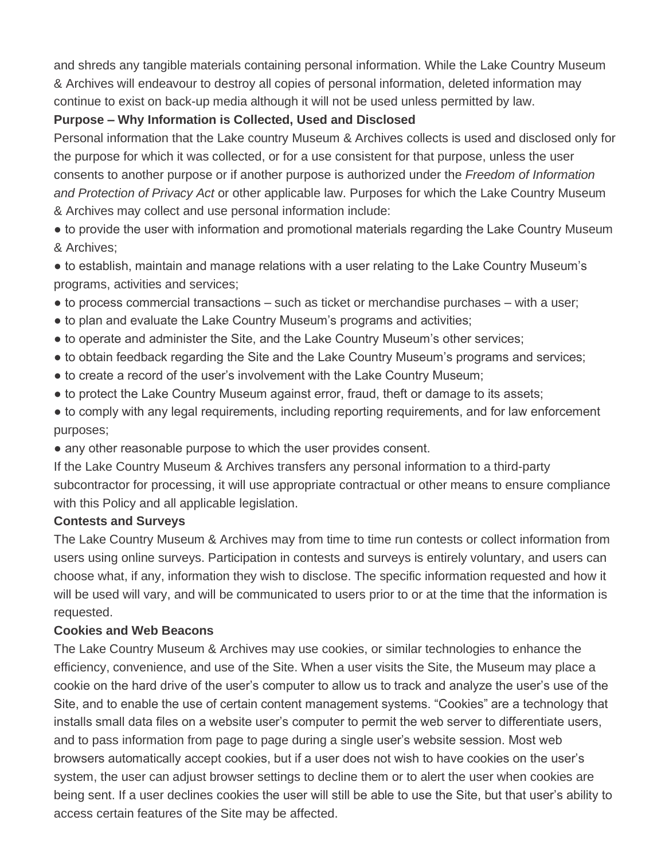and shreds any tangible materials containing personal information. While the Lake Country Museum & Archives will endeavour to destroy all copies of personal information, deleted information may continue to exist on back-up media although it will not be used unless permitted by law.

# **Purpose – Why Information is Collected, Used and Disclosed**

Personal information that the Lake country Museum & Archives collects is used and disclosed only for the purpose for which it was collected, or for a use consistent for that purpose, unless the user consents to another purpose or if another purpose is authorized under the *Freedom of Information and Protection of Privacy Act* or other applicable law. Purposes for which the Lake Country Museum & Archives may collect and use personal information include:

• to provide the user with information and promotional materials regarding the Lake Country Museum & Archives;

• to establish, maintain and manage relations with a user relating to the Lake Country Museum's programs, activities and services;

- $\bullet$  to process commercial transactions such as ticket or merchandise purchases with a user;
- to plan and evaluate the Lake Country Museum's programs and activities;
- to operate and administer the Site, and the Lake Country Museum's other services;
- to obtain feedback regarding the Site and the Lake Country Museum's programs and services;
- to create a record of the user's involvement with the Lake Country Museum;
- to protect the Lake Country Museum against error, fraud, theft or damage to its assets;
- to comply with any legal requirements, including reporting requirements, and for law enforcement purposes;
- any other reasonable purpose to which the user provides consent.

If the Lake Country Museum & Archives transfers any personal information to a third-party subcontractor for processing, it will use appropriate contractual or other means to ensure compliance with this Policy and all applicable legislation.

## **Contests and Surveys**

The Lake Country Museum & Archives may from time to time run contests or collect information from users using online surveys. Participation in contests and surveys is entirely voluntary, and users can choose what, if any, information they wish to disclose. The specific information requested and how it will be used will vary, and will be communicated to users prior to or at the time that the information is requested.

## **Cookies and Web Beacons**

The Lake Country Museum & Archives may use cookies, or similar technologies to enhance the efficiency, convenience, and use of the Site. When a user visits the Site, the Museum may place a cookie on the hard drive of the user's computer to allow us to track and analyze the user's use of the Site, and to enable the use of certain content management systems. "Cookies" are a technology that installs small data files on a website user's computer to permit the web server to differentiate users, and to pass information from page to page during a single user's website session. Most web browsers automatically accept cookies, but if a user does not wish to have cookies on the user's system, the user can adjust browser settings to decline them or to alert the user when cookies are being sent. If a user declines cookies the user will still be able to use the Site, but that user's ability to access certain features of the Site may be affected.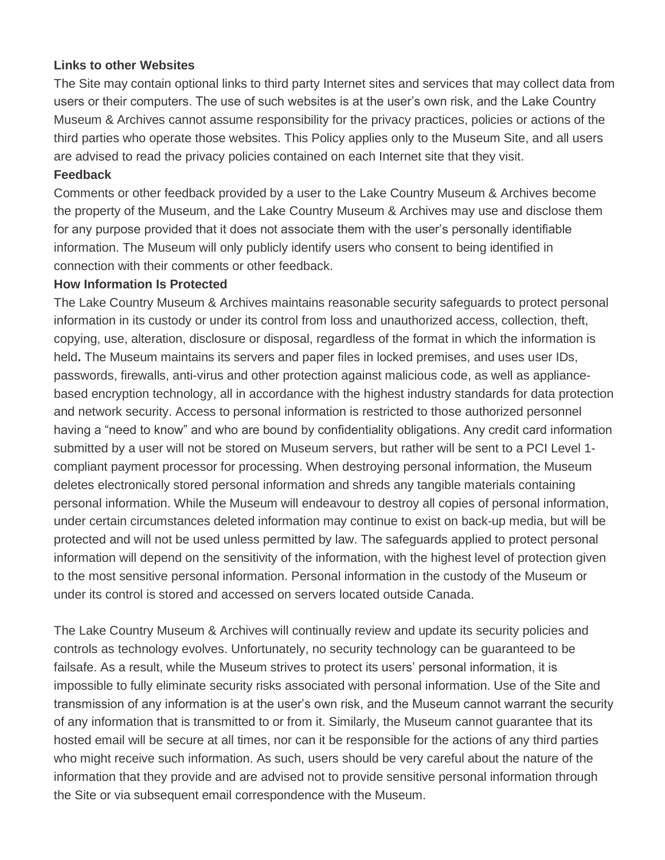#### **Links to other Websites**

The Site may contain optional links to third party Internet sites and services that may collect data from users or their computers. The use of such websites is at the user's own risk, and the Lake Country Museum & Archives cannot assume responsibility for the privacy practices, policies or actions of the third parties who operate those websites. This Policy applies only to the Museum Site, and all users are advised to read the privacy policies contained on each Internet site that they visit.

#### **Feedback**

Comments or other feedback provided by a user to the Lake Country Museum & Archives become the property of the Museum, and the Lake Country Museum & Archives may use and disclose them for any purpose provided that it does not associate them with the user's personally identifiable information. The Museum will only publicly identify users who consent to being identified in connection with their comments or other feedback.

#### **How Information Is Protected**

The Lake Country Museum & Archives maintains reasonable security safeguards to protect personal information in its custody or under its control from loss and unauthorized access, collection, theft, copying, use, alteration, disclosure or disposal, regardless of the format in which the information is held**.** The Museum maintains its servers and paper files in locked premises, and uses user IDs, passwords, firewalls, anti-virus and other protection against malicious code, as well as appliancebased encryption technology, all in accordance with the highest industry standards for data protection and network security. Access to personal information is restricted to those authorized personnel having a "need to know" and who are bound by confidentiality obligations. Any credit card information submitted by a user will not be stored on Museum servers, but rather will be sent to a PCI Level 1 compliant payment processor for processing. When destroying personal information, the Museum deletes electronically stored personal information and shreds any tangible materials containing personal information. While the Museum will endeavour to destroy all copies of personal information, under certain circumstances deleted information may continue to exist on back-up media, but will be protected and will not be used unless permitted by law. The safeguards applied to protect personal information will depend on the sensitivity of the information, with the highest level of protection given to the most sensitive personal information. Personal information in the custody of the Museum or under its control is stored and accessed on servers located outside Canada.

The Lake Country Museum & Archives will continually review and update its security policies and controls as technology evolves. Unfortunately, no security technology can be guaranteed to be failsafe. As a result, while the Museum strives to protect its users' personal information, it is impossible to fully eliminate security risks associated with personal information. Use of the Site and transmission of any information is at the user's own risk, and the Museum cannot warrant the security of any information that is transmitted to or from it. Similarly, the Museum cannot guarantee that its hosted email will be secure at all times, nor can it be responsible for the actions of any third parties who might receive such information. As such, users should be very careful about the nature of the information that they provide and are advised not to provide sensitive personal information through the Site or via subsequent email correspondence with the Museum.